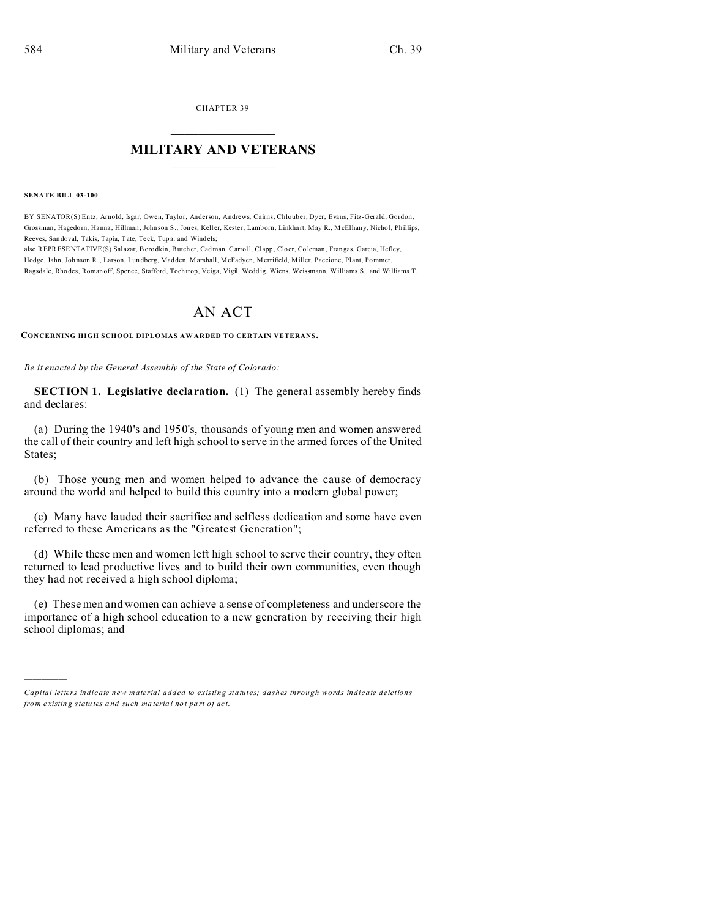CHAPTER 39  $\overline{\phantom{a}}$  , where  $\overline{\phantom{a}}$ 

## **MILITARY AND VETERANS**  $\_$

**SENATE BILL 03-100**

)))))

BY SENATOR(S) Entz, Arnold, Isgar, Owen, Taylor, Anderson, Andrews, Cairns, Chlouber, Dyer, Evans, Fitz-Gerald, Gordon, Grossman, Hagedorn, Hanna, Hillman, John son S., Jones, Keller, Kester, Lamborn, Linkhart, May R., McElhany, Nichol, Phillips, Reeves, San doval, Takis, Tapia, Tate, Teck, Tup a, and Windels;

also REPRESENTATIVE(S) Sal azar, Borodkin, Butch er, Cadman, Carroll, Clapp, Clo er, Co leman, Frangas, Garcia, Hefley, Hodge, Jahn, Joh nson R., Larson, Lun dberg, Madden, Marshall, McFadyen, M errifield, Miller, Paccione, Pl ant, Pommer, Ragsdale, Rho des, Roman off, Spence, Stafford, Toch trop, Veiga, Vigil, Wedd ig, Wiens, Weissmann, Williams S., and Williams T.

## AN ACT

**CONCERNING HIGH SCHOOL DIPLOMAS AW ARDED TO CERTAIN VETERANS.**

*Be it enacted by the General Assembly of the State of Colorado:*

**SECTION 1. Legislative declaration.** (1) The general assembly hereby finds and declares:

(a) During the 1940's and 1950's, thousands of young men and women answered the call of their country and left high school to serve in the armed forces of the United States;

(b) Those young men and women helped to advance the cause of democracy around the world and helped to build this country into a modern global power;

(c) Many have lauded their sacrifice and selfless dedication and some have even referred to these Americans as the "Greatest Generation";

(d) While these men and women left high school to serve their country, they often returned to lead productive lives and to build their own communities, even though they had not received a high school diploma;

(e) These men and women can achieve a sense of completeness and underscore the importance of a high school education to a new generation by receiving their high school diplomas; and

*Capital letters indicate new material added to existing statutes; dashes through words indicate deletions from e xistin g statu tes a nd such ma teria l no t pa rt of ac t.*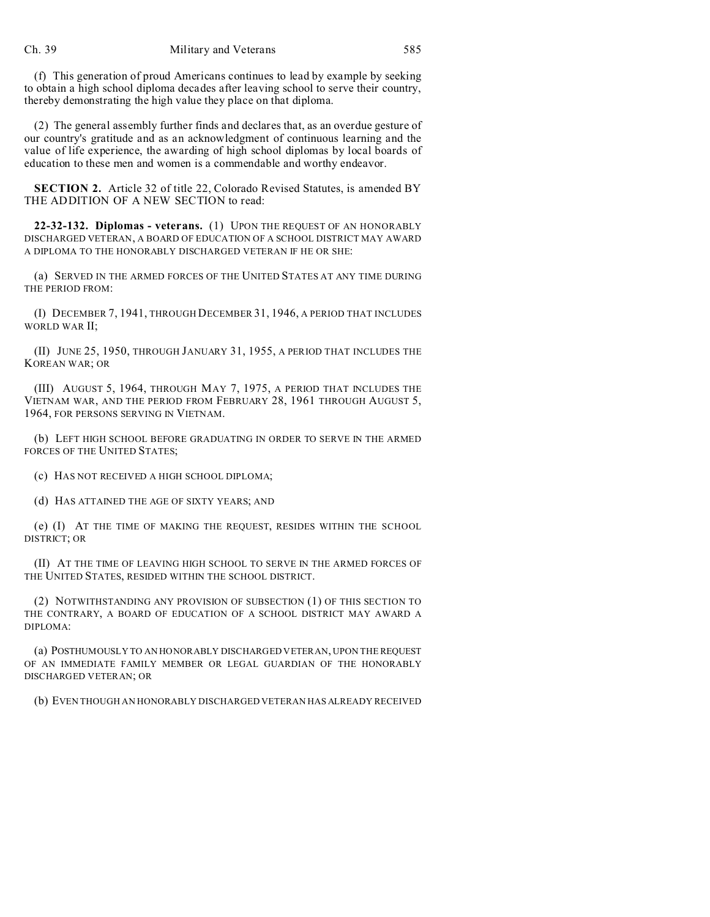(f) This generation of proud Americans continues to lead by example by seeking to obtain a high school diploma decades after leaving school to serve their country, thereby demonstrating the high value they place on that diploma.

(2) The general assembly further finds and declares that, as an overdue gesture of our country's gratitude and as an acknowledgment of continuous learning and the value of life experience, the awarding of high school diplomas by local boards of education to these men and women is a commendable and worthy endeavor.

**SECTION 2.** Article 32 of title 22, Colorado Revised Statutes, is amended BY THE ADDITION OF A NEW SECTION to read:

**22-32-132. Diplomas - veterans.** (1) UPON THE REQUEST OF AN HONORABLY DISCHARGED VETERAN, A BOARD OF EDUCATION OF A SCHOOL DISTRICT MAY AWARD A DIPLOMA TO THE HONORABLY DISCHARGED VETERAN IF HE OR SHE:

(a) SERVED IN THE ARMED FORCES OF THE UNITED STATES AT ANY TIME DURING THE PERIOD FROM:

(I) DECEMBER 7, 1941, THROUGH DECEMBER 31, 1946, A PERIOD THAT INCLUDES WORLD WAR II;

(II) JUNE 25, 1950, THROUGH JANUARY 31, 1955, A PERIOD THAT INCLUDES THE KOREAN WAR; OR

(III) AUGUST 5, 1964, THROUGH MAY 7, 1975, A PERIOD THAT INCLUDES THE VIETNAM WAR, AND THE PERIOD FROM FEBRUARY 28, 1961 THROUGH AUGUST 5, 1964, FOR PERSONS SERVING IN VIETNAM.

(b) LEFT HIGH SCHOOL BEFORE GRADUATING IN ORDER TO SERVE IN THE ARMED FORCES OF THE UNITED STATES;

(c) HAS NOT RECEIVED A HIGH SCHOOL DIPLOMA;

(d) HAS ATTAINED THE AGE OF SIXTY YEARS; AND

(e) (I) AT THE TIME OF MAKING THE REQUEST, RESIDES WITHIN THE SCHOOL DISTRICT; OR

(II) AT THE TIME OF LEAVING HIGH SCHOOL TO SERVE IN THE ARMED FORCES OF THE UNITED STATES, RESIDED WITHIN THE SCHOOL DISTRICT.

(2) NOTWITHSTANDING ANY PROVISION OF SUBSECTION (1) OF THIS SECTION TO THE CONTRARY, A BOARD OF EDUCATION OF A SCHOOL DISTRICT MAY AWARD A DIPLOMA:

(a) POSTHUMOUSLY TO AN HONORABLY DISCHARGED VETERAN, UPON THE REQUEST OF AN IMMEDIATE FAMILY MEMBER OR LEGAL GUARDIAN OF THE HONORABLY DISCHARGED VETERAN; OR

(b) EVEN THOUGH AN HONORABLY DISCHARGED VETERAN HAS ALREADY RECEIVED